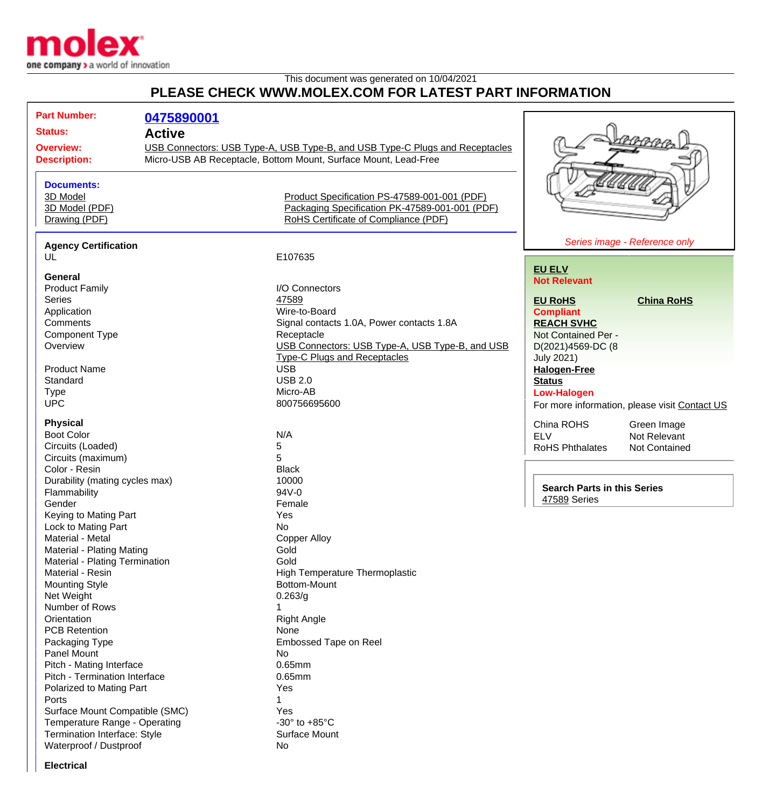

## This document was generated on 10/04/2021 **PLEASE CHECK WWW.MOLEX.COM FOR LATEST PART INFORMATION**

| <b>Status:</b><br><b>Active</b><br>USB Connectors: USB Type-A, USB Type-B, and USB Type-C Plugs and Receptacles<br><b>Overview:</b><br>Micro-USB AB Receptacle, Bottom Mount, Surface Mount, Lead-Free<br><b>Description:</b><br><b>Documents:</b><br>3D Model<br>Product Specification PS-47589-001-001 (PDF)<br>Packaging Specification PK-47589-001-001 (PDF)<br>3D Model (PDF)<br>RoHS Certificate of Compliance (PDF)<br>Drawing (PDF)<br>Series image - Reference only<br><b>Agency Certification</b><br>E107635<br>UL<br><b>EU ELV</b><br>General<br><b>Not Relevant</b><br>I/O Connectors<br><b>Product Family</b><br>47589<br>Series<br><b>EU RoHS</b><br><b>China RoHS</b><br>Wire-to-Board<br>Application<br><b>Compliant</b><br>Comments<br>Signal contacts 1.0A, Power contacts 1.8A<br><b>REACH SVHC</b><br><b>Component Type</b><br>Receptacle<br>Not Contained Per -<br>USB Connectors: USB Type-A, USB Type-B, and USB<br>Overview<br>D(2021)4569-DC (8<br><b>Type-C Plugs and Receptacles</b><br><b>July 2021)</b><br><b>USB</b><br><b>Product Name</b><br><b>Halogen-Free</b><br><b>USB 2.0</b><br>Standard<br><b>Status</b><br><b>Type</b><br>Micro-AB<br><b>Low-Halogen</b><br><b>UPC</b><br>800756695600<br>For more information, please visit Contact US<br><b>Physical</b><br>China ROHS<br>Green Image<br><b>Boot Color</b><br>N/A<br><b>ELV</b><br>Not Relevant<br>Circuits (Loaded)<br>5<br><b>RoHS Phthalates</b><br><b>Not Contained</b><br>5<br>Circuits (maximum)<br>Color - Resin<br><b>Black</b><br>Durability (mating cycles max)<br>10000<br><b>Search Parts in this Series</b><br>$94V - 0$<br>Flammability<br>47589 Series<br>Gender<br>Female<br>Keying to Mating Part<br>Yes<br>Lock to Mating Part<br>No<br>Material - Metal<br><b>Copper Alloy</b><br>Material - Plating Mating<br>Gold<br>Gold<br>Material - Plating Termination<br><b>High Temperature Thermoplastic</b><br>Material - Resin<br><b>Mounting Style</b><br>Bottom-Mount<br>Net Weight<br>0.263/g<br>Number of Rows<br>Orientation<br><b>Right Angle</b><br><b>PCB Retention</b><br>None<br>Embossed Tape on Reel<br>Packaging Type<br>Panel Mount<br>No<br>0.65mm<br>Pitch - Mating Interface<br>Pitch - Termination Interface<br>$0.65$ mm<br>Polarized to Mating Part<br>Yes<br>Ports<br>Surface Mount Compatible (SMC)<br>Yes<br>Temperature Range - Operating<br>-30 $\degree$ to +85 $\degree$ C<br>Termination Interface: Style<br>Surface Mount<br>Waterproof / Dustproof<br>No |  | <b>Part Number:</b> |            |  |  |  |
|-------------------------------------------------------------------------------------------------------------------------------------------------------------------------------------------------------------------------------------------------------------------------------------------------------------------------------------------------------------------------------------------------------------------------------------------------------------------------------------------------------------------------------------------------------------------------------------------------------------------------------------------------------------------------------------------------------------------------------------------------------------------------------------------------------------------------------------------------------------------------------------------------------------------------------------------------------------------------------------------------------------------------------------------------------------------------------------------------------------------------------------------------------------------------------------------------------------------------------------------------------------------------------------------------------------------------------------------------------------------------------------------------------------------------------------------------------------------------------------------------------------------------------------------------------------------------------------------------------------------------------------------------------------------------------------------------------------------------------------------------------------------------------------------------------------------------------------------------------------------------------------------------------------------------------------------------------------------------------------------------------------------------------------------------------------------------------------------------------------------------------------------------------------------------------------------------------------------------------------------------------------------------------------------------------------------------------------------------------------------------------------------------------------------------------------------------------------------------------------------------|--|---------------------|------------|--|--|--|
|                                                                                                                                                                                                                                                                                                                                                                                                                                                                                                                                                                                                                                                                                                                                                                                                                                                                                                                                                                                                                                                                                                                                                                                                                                                                                                                                                                                                                                                                                                                                                                                                                                                                                                                                                                                                                                                                                                                                                                                                                                                                                                                                                                                                                                                                                                                                                                                                                                                                                                 |  |                     | 0475890001 |  |  |  |
|                                                                                                                                                                                                                                                                                                                                                                                                                                                                                                                                                                                                                                                                                                                                                                                                                                                                                                                                                                                                                                                                                                                                                                                                                                                                                                                                                                                                                                                                                                                                                                                                                                                                                                                                                                                                                                                                                                                                                                                                                                                                                                                                                                                                                                                                                                                                                                                                                                                                                                 |  |                     |            |  |  |  |
|                                                                                                                                                                                                                                                                                                                                                                                                                                                                                                                                                                                                                                                                                                                                                                                                                                                                                                                                                                                                                                                                                                                                                                                                                                                                                                                                                                                                                                                                                                                                                                                                                                                                                                                                                                                                                                                                                                                                                                                                                                                                                                                                                                                                                                                                                                                                                                                                                                                                                                 |  |                     |            |  |  |  |
|                                                                                                                                                                                                                                                                                                                                                                                                                                                                                                                                                                                                                                                                                                                                                                                                                                                                                                                                                                                                                                                                                                                                                                                                                                                                                                                                                                                                                                                                                                                                                                                                                                                                                                                                                                                                                                                                                                                                                                                                                                                                                                                                                                                                                                                                                                                                                                                                                                                                                                 |  |                     |            |  |  |  |
|                                                                                                                                                                                                                                                                                                                                                                                                                                                                                                                                                                                                                                                                                                                                                                                                                                                                                                                                                                                                                                                                                                                                                                                                                                                                                                                                                                                                                                                                                                                                                                                                                                                                                                                                                                                                                                                                                                                                                                                                                                                                                                                                                                                                                                                                                                                                                                                                                                                                                                 |  |                     |            |  |  |  |
|                                                                                                                                                                                                                                                                                                                                                                                                                                                                                                                                                                                                                                                                                                                                                                                                                                                                                                                                                                                                                                                                                                                                                                                                                                                                                                                                                                                                                                                                                                                                                                                                                                                                                                                                                                                                                                                                                                                                                                                                                                                                                                                                                                                                                                                                                                                                                                                                                                                                                                 |  |                     |            |  |  |  |
|                                                                                                                                                                                                                                                                                                                                                                                                                                                                                                                                                                                                                                                                                                                                                                                                                                                                                                                                                                                                                                                                                                                                                                                                                                                                                                                                                                                                                                                                                                                                                                                                                                                                                                                                                                                                                                                                                                                                                                                                                                                                                                                                                                                                                                                                                                                                                                                                                                                                                                 |  |                     |            |  |  |  |
|                                                                                                                                                                                                                                                                                                                                                                                                                                                                                                                                                                                                                                                                                                                                                                                                                                                                                                                                                                                                                                                                                                                                                                                                                                                                                                                                                                                                                                                                                                                                                                                                                                                                                                                                                                                                                                                                                                                                                                                                                                                                                                                                                                                                                                                                                                                                                                                                                                                                                                 |  |                     |            |  |  |  |
|                                                                                                                                                                                                                                                                                                                                                                                                                                                                                                                                                                                                                                                                                                                                                                                                                                                                                                                                                                                                                                                                                                                                                                                                                                                                                                                                                                                                                                                                                                                                                                                                                                                                                                                                                                                                                                                                                                                                                                                                                                                                                                                                                                                                                                                                                                                                                                                                                                                                                                 |  |                     |            |  |  |  |
|                                                                                                                                                                                                                                                                                                                                                                                                                                                                                                                                                                                                                                                                                                                                                                                                                                                                                                                                                                                                                                                                                                                                                                                                                                                                                                                                                                                                                                                                                                                                                                                                                                                                                                                                                                                                                                                                                                                                                                                                                                                                                                                                                                                                                                                                                                                                                                                                                                                                                                 |  |                     |            |  |  |  |
|                                                                                                                                                                                                                                                                                                                                                                                                                                                                                                                                                                                                                                                                                                                                                                                                                                                                                                                                                                                                                                                                                                                                                                                                                                                                                                                                                                                                                                                                                                                                                                                                                                                                                                                                                                                                                                                                                                                                                                                                                                                                                                                                                                                                                                                                                                                                                                                                                                                                                                 |  |                     |            |  |  |  |
|                                                                                                                                                                                                                                                                                                                                                                                                                                                                                                                                                                                                                                                                                                                                                                                                                                                                                                                                                                                                                                                                                                                                                                                                                                                                                                                                                                                                                                                                                                                                                                                                                                                                                                                                                                                                                                                                                                                                                                                                                                                                                                                                                                                                                                                                                                                                                                                                                                                                                                 |  |                     |            |  |  |  |
|                                                                                                                                                                                                                                                                                                                                                                                                                                                                                                                                                                                                                                                                                                                                                                                                                                                                                                                                                                                                                                                                                                                                                                                                                                                                                                                                                                                                                                                                                                                                                                                                                                                                                                                                                                                                                                                                                                                                                                                                                                                                                                                                                                                                                                                                                                                                                                                                                                                                                                 |  |                     |            |  |  |  |
|                                                                                                                                                                                                                                                                                                                                                                                                                                                                                                                                                                                                                                                                                                                                                                                                                                                                                                                                                                                                                                                                                                                                                                                                                                                                                                                                                                                                                                                                                                                                                                                                                                                                                                                                                                                                                                                                                                                                                                                                                                                                                                                                                                                                                                                                                                                                                                                                                                                                                                 |  |                     |            |  |  |  |
|                                                                                                                                                                                                                                                                                                                                                                                                                                                                                                                                                                                                                                                                                                                                                                                                                                                                                                                                                                                                                                                                                                                                                                                                                                                                                                                                                                                                                                                                                                                                                                                                                                                                                                                                                                                                                                                                                                                                                                                                                                                                                                                                                                                                                                                                                                                                                                                                                                                                                                 |  |                     |            |  |  |  |
|                                                                                                                                                                                                                                                                                                                                                                                                                                                                                                                                                                                                                                                                                                                                                                                                                                                                                                                                                                                                                                                                                                                                                                                                                                                                                                                                                                                                                                                                                                                                                                                                                                                                                                                                                                                                                                                                                                                                                                                                                                                                                                                                                                                                                                                                                                                                                                                                                                                                                                 |  |                     |            |  |  |  |
|                                                                                                                                                                                                                                                                                                                                                                                                                                                                                                                                                                                                                                                                                                                                                                                                                                                                                                                                                                                                                                                                                                                                                                                                                                                                                                                                                                                                                                                                                                                                                                                                                                                                                                                                                                                                                                                                                                                                                                                                                                                                                                                                                                                                                                                                                                                                                                                                                                                                                                 |  |                     |            |  |  |  |
|                                                                                                                                                                                                                                                                                                                                                                                                                                                                                                                                                                                                                                                                                                                                                                                                                                                                                                                                                                                                                                                                                                                                                                                                                                                                                                                                                                                                                                                                                                                                                                                                                                                                                                                                                                                                                                                                                                                                                                                                                                                                                                                                                                                                                                                                                                                                                                                                                                                                                                 |  |                     |            |  |  |  |
|                                                                                                                                                                                                                                                                                                                                                                                                                                                                                                                                                                                                                                                                                                                                                                                                                                                                                                                                                                                                                                                                                                                                                                                                                                                                                                                                                                                                                                                                                                                                                                                                                                                                                                                                                                                                                                                                                                                                                                                                                                                                                                                                                                                                                                                                                                                                                                                                                                                                                                 |  |                     |            |  |  |  |
|                                                                                                                                                                                                                                                                                                                                                                                                                                                                                                                                                                                                                                                                                                                                                                                                                                                                                                                                                                                                                                                                                                                                                                                                                                                                                                                                                                                                                                                                                                                                                                                                                                                                                                                                                                                                                                                                                                                                                                                                                                                                                                                                                                                                                                                                                                                                                                                                                                                                                                 |  |                     |            |  |  |  |
|                                                                                                                                                                                                                                                                                                                                                                                                                                                                                                                                                                                                                                                                                                                                                                                                                                                                                                                                                                                                                                                                                                                                                                                                                                                                                                                                                                                                                                                                                                                                                                                                                                                                                                                                                                                                                                                                                                                                                                                                                                                                                                                                                                                                                                                                                                                                                                                                                                                                                                 |  |                     |            |  |  |  |
|                                                                                                                                                                                                                                                                                                                                                                                                                                                                                                                                                                                                                                                                                                                                                                                                                                                                                                                                                                                                                                                                                                                                                                                                                                                                                                                                                                                                                                                                                                                                                                                                                                                                                                                                                                                                                                                                                                                                                                                                                                                                                                                                                                                                                                                                                                                                                                                                                                                                                                 |  |                     |            |  |  |  |
|                                                                                                                                                                                                                                                                                                                                                                                                                                                                                                                                                                                                                                                                                                                                                                                                                                                                                                                                                                                                                                                                                                                                                                                                                                                                                                                                                                                                                                                                                                                                                                                                                                                                                                                                                                                                                                                                                                                                                                                                                                                                                                                                                                                                                                                                                                                                                                                                                                                                                                 |  |                     |            |  |  |  |
|                                                                                                                                                                                                                                                                                                                                                                                                                                                                                                                                                                                                                                                                                                                                                                                                                                                                                                                                                                                                                                                                                                                                                                                                                                                                                                                                                                                                                                                                                                                                                                                                                                                                                                                                                                                                                                                                                                                                                                                                                                                                                                                                                                                                                                                                                                                                                                                                                                                                                                 |  |                     |            |  |  |  |
|                                                                                                                                                                                                                                                                                                                                                                                                                                                                                                                                                                                                                                                                                                                                                                                                                                                                                                                                                                                                                                                                                                                                                                                                                                                                                                                                                                                                                                                                                                                                                                                                                                                                                                                                                                                                                                                                                                                                                                                                                                                                                                                                                                                                                                                                                                                                                                                                                                                                                                 |  |                     |            |  |  |  |
|                                                                                                                                                                                                                                                                                                                                                                                                                                                                                                                                                                                                                                                                                                                                                                                                                                                                                                                                                                                                                                                                                                                                                                                                                                                                                                                                                                                                                                                                                                                                                                                                                                                                                                                                                                                                                                                                                                                                                                                                                                                                                                                                                                                                                                                                                                                                                                                                                                                                                                 |  |                     |            |  |  |  |
|                                                                                                                                                                                                                                                                                                                                                                                                                                                                                                                                                                                                                                                                                                                                                                                                                                                                                                                                                                                                                                                                                                                                                                                                                                                                                                                                                                                                                                                                                                                                                                                                                                                                                                                                                                                                                                                                                                                                                                                                                                                                                                                                                                                                                                                                                                                                                                                                                                                                                                 |  |                     |            |  |  |  |
|                                                                                                                                                                                                                                                                                                                                                                                                                                                                                                                                                                                                                                                                                                                                                                                                                                                                                                                                                                                                                                                                                                                                                                                                                                                                                                                                                                                                                                                                                                                                                                                                                                                                                                                                                                                                                                                                                                                                                                                                                                                                                                                                                                                                                                                                                                                                                                                                                                                                                                 |  |                     |            |  |  |  |
|                                                                                                                                                                                                                                                                                                                                                                                                                                                                                                                                                                                                                                                                                                                                                                                                                                                                                                                                                                                                                                                                                                                                                                                                                                                                                                                                                                                                                                                                                                                                                                                                                                                                                                                                                                                                                                                                                                                                                                                                                                                                                                                                                                                                                                                                                                                                                                                                                                                                                                 |  |                     |            |  |  |  |
|                                                                                                                                                                                                                                                                                                                                                                                                                                                                                                                                                                                                                                                                                                                                                                                                                                                                                                                                                                                                                                                                                                                                                                                                                                                                                                                                                                                                                                                                                                                                                                                                                                                                                                                                                                                                                                                                                                                                                                                                                                                                                                                                                                                                                                                                                                                                                                                                                                                                                                 |  |                     |            |  |  |  |
|                                                                                                                                                                                                                                                                                                                                                                                                                                                                                                                                                                                                                                                                                                                                                                                                                                                                                                                                                                                                                                                                                                                                                                                                                                                                                                                                                                                                                                                                                                                                                                                                                                                                                                                                                                                                                                                                                                                                                                                                                                                                                                                                                                                                                                                                                                                                                                                                                                                                                                 |  |                     |            |  |  |  |
|                                                                                                                                                                                                                                                                                                                                                                                                                                                                                                                                                                                                                                                                                                                                                                                                                                                                                                                                                                                                                                                                                                                                                                                                                                                                                                                                                                                                                                                                                                                                                                                                                                                                                                                                                                                                                                                                                                                                                                                                                                                                                                                                                                                                                                                                                                                                                                                                                                                                                                 |  |                     |            |  |  |  |
|                                                                                                                                                                                                                                                                                                                                                                                                                                                                                                                                                                                                                                                                                                                                                                                                                                                                                                                                                                                                                                                                                                                                                                                                                                                                                                                                                                                                                                                                                                                                                                                                                                                                                                                                                                                                                                                                                                                                                                                                                                                                                                                                                                                                                                                                                                                                                                                                                                                                                                 |  |                     |            |  |  |  |
|                                                                                                                                                                                                                                                                                                                                                                                                                                                                                                                                                                                                                                                                                                                                                                                                                                                                                                                                                                                                                                                                                                                                                                                                                                                                                                                                                                                                                                                                                                                                                                                                                                                                                                                                                                                                                                                                                                                                                                                                                                                                                                                                                                                                                                                                                                                                                                                                                                                                                                 |  |                     |            |  |  |  |
|                                                                                                                                                                                                                                                                                                                                                                                                                                                                                                                                                                                                                                                                                                                                                                                                                                                                                                                                                                                                                                                                                                                                                                                                                                                                                                                                                                                                                                                                                                                                                                                                                                                                                                                                                                                                                                                                                                                                                                                                                                                                                                                                                                                                                                                                                                                                                                                                                                                                                                 |  |                     |            |  |  |  |
|                                                                                                                                                                                                                                                                                                                                                                                                                                                                                                                                                                                                                                                                                                                                                                                                                                                                                                                                                                                                                                                                                                                                                                                                                                                                                                                                                                                                                                                                                                                                                                                                                                                                                                                                                                                                                                                                                                                                                                                                                                                                                                                                                                                                                                                                                                                                                                                                                                                                                                 |  |                     |            |  |  |  |
|                                                                                                                                                                                                                                                                                                                                                                                                                                                                                                                                                                                                                                                                                                                                                                                                                                                                                                                                                                                                                                                                                                                                                                                                                                                                                                                                                                                                                                                                                                                                                                                                                                                                                                                                                                                                                                                                                                                                                                                                                                                                                                                                                                                                                                                                                                                                                                                                                                                                                                 |  |                     |            |  |  |  |
|                                                                                                                                                                                                                                                                                                                                                                                                                                                                                                                                                                                                                                                                                                                                                                                                                                                                                                                                                                                                                                                                                                                                                                                                                                                                                                                                                                                                                                                                                                                                                                                                                                                                                                                                                                                                                                                                                                                                                                                                                                                                                                                                                                                                                                                                                                                                                                                                                                                                                                 |  |                     |            |  |  |  |
|                                                                                                                                                                                                                                                                                                                                                                                                                                                                                                                                                                                                                                                                                                                                                                                                                                                                                                                                                                                                                                                                                                                                                                                                                                                                                                                                                                                                                                                                                                                                                                                                                                                                                                                                                                                                                                                                                                                                                                                                                                                                                                                                                                                                                                                                                                                                                                                                                                                                                                 |  |                     |            |  |  |  |
|                                                                                                                                                                                                                                                                                                                                                                                                                                                                                                                                                                                                                                                                                                                                                                                                                                                                                                                                                                                                                                                                                                                                                                                                                                                                                                                                                                                                                                                                                                                                                                                                                                                                                                                                                                                                                                                                                                                                                                                                                                                                                                                                                                                                                                                                                                                                                                                                                                                                                                 |  |                     |            |  |  |  |
|                                                                                                                                                                                                                                                                                                                                                                                                                                                                                                                                                                                                                                                                                                                                                                                                                                                                                                                                                                                                                                                                                                                                                                                                                                                                                                                                                                                                                                                                                                                                                                                                                                                                                                                                                                                                                                                                                                                                                                                                                                                                                                                                                                                                                                                                                                                                                                                                                                                                                                 |  |                     |            |  |  |  |
|                                                                                                                                                                                                                                                                                                                                                                                                                                                                                                                                                                                                                                                                                                                                                                                                                                                                                                                                                                                                                                                                                                                                                                                                                                                                                                                                                                                                                                                                                                                                                                                                                                                                                                                                                                                                                                                                                                                                                                                                                                                                                                                                                                                                                                                                                                                                                                                                                                                                                                 |  |                     |            |  |  |  |
|                                                                                                                                                                                                                                                                                                                                                                                                                                                                                                                                                                                                                                                                                                                                                                                                                                                                                                                                                                                                                                                                                                                                                                                                                                                                                                                                                                                                                                                                                                                                                                                                                                                                                                                                                                                                                                                                                                                                                                                                                                                                                                                                                                                                                                                                                                                                                                                                                                                                                                 |  |                     |            |  |  |  |
|                                                                                                                                                                                                                                                                                                                                                                                                                                                                                                                                                                                                                                                                                                                                                                                                                                                                                                                                                                                                                                                                                                                                                                                                                                                                                                                                                                                                                                                                                                                                                                                                                                                                                                                                                                                                                                                                                                                                                                                                                                                                                                                                                                                                                                                                                                                                                                                                                                                                                                 |  |                     |            |  |  |  |
|                                                                                                                                                                                                                                                                                                                                                                                                                                                                                                                                                                                                                                                                                                                                                                                                                                                                                                                                                                                                                                                                                                                                                                                                                                                                                                                                                                                                                                                                                                                                                                                                                                                                                                                                                                                                                                                                                                                                                                                                                                                                                                                                                                                                                                                                                                                                                                                                                                                                                                 |  |                     |            |  |  |  |
|                                                                                                                                                                                                                                                                                                                                                                                                                                                                                                                                                                                                                                                                                                                                                                                                                                                                                                                                                                                                                                                                                                                                                                                                                                                                                                                                                                                                                                                                                                                                                                                                                                                                                                                                                                                                                                                                                                                                                                                                                                                                                                                                                                                                                                                                                                                                                                                                                                                                                                 |  |                     |            |  |  |  |
|                                                                                                                                                                                                                                                                                                                                                                                                                                                                                                                                                                                                                                                                                                                                                                                                                                                                                                                                                                                                                                                                                                                                                                                                                                                                                                                                                                                                                                                                                                                                                                                                                                                                                                                                                                                                                                                                                                                                                                                                                                                                                                                                                                                                                                                                                                                                                                                                                                                                                                 |  |                     |            |  |  |  |
|                                                                                                                                                                                                                                                                                                                                                                                                                                                                                                                                                                                                                                                                                                                                                                                                                                                                                                                                                                                                                                                                                                                                                                                                                                                                                                                                                                                                                                                                                                                                                                                                                                                                                                                                                                                                                                                                                                                                                                                                                                                                                                                                                                                                                                                                                                                                                                                                                                                                                                 |  |                     |            |  |  |  |
|                                                                                                                                                                                                                                                                                                                                                                                                                                                                                                                                                                                                                                                                                                                                                                                                                                                                                                                                                                                                                                                                                                                                                                                                                                                                                                                                                                                                                                                                                                                                                                                                                                                                                                                                                                                                                                                                                                                                                                                                                                                                                                                                                                                                                                                                                                                                                                                                                                                                                                 |  |                     |            |  |  |  |
|                                                                                                                                                                                                                                                                                                                                                                                                                                                                                                                                                                                                                                                                                                                                                                                                                                                                                                                                                                                                                                                                                                                                                                                                                                                                                                                                                                                                                                                                                                                                                                                                                                                                                                                                                                                                                                                                                                                                                                                                                                                                                                                                                                                                                                                                                                                                                                                                                                                                                                 |  |                     |            |  |  |  |
|                                                                                                                                                                                                                                                                                                                                                                                                                                                                                                                                                                                                                                                                                                                                                                                                                                                                                                                                                                                                                                                                                                                                                                                                                                                                                                                                                                                                                                                                                                                                                                                                                                                                                                                                                                                                                                                                                                                                                                                                                                                                                                                                                                                                                                                                                                                                                                                                                                                                                                 |  |                     |            |  |  |  |
|                                                                                                                                                                                                                                                                                                                                                                                                                                                                                                                                                                                                                                                                                                                                                                                                                                                                                                                                                                                                                                                                                                                                                                                                                                                                                                                                                                                                                                                                                                                                                                                                                                                                                                                                                                                                                                                                                                                                                                                                                                                                                                                                                                                                                                                                                                                                                                                                                                                                                                 |  |                     |            |  |  |  |
|                                                                                                                                                                                                                                                                                                                                                                                                                                                                                                                                                                                                                                                                                                                                                                                                                                                                                                                                                                                                                                                                                                                                                                                                                                                                                                                                                                                                                                                                                                                                                                                                                                                                                                                                                                                                                                                                                                                                                                                                                                                                                                                                                                                                                                                                                                                                                                                                                                                                                                 |  |                     |            |  |  |  |
|                                                                                                                                                                                                                                                                                                                                                                                                                                                                                                                                                                                                                                                                                                                                                                                                                                                                                                                                                                                                                                                                                                                                                                                                                                                                                                                                                                                                                                                                                                                                                                                                                                                                                                                                                                                                                                                                                                                                                                                                                                                                                                                                                                                                                                                                                                                                                                                                                                                                                                 |  |                     |            |  |  |  |
|                                                                                                                                                                                                                                                                                                                                                                                                                                                                                                                                                                                                                                                                                                                                                                                                                                                                                                                                                                                                                                                                                                                                                                                                                                                                                                                                                                                                                                                                                                                                                                                                                                                                                                                                                                                                                                                                                                                                                                                                                                                                                                                                                                                                                                                                                                                                                                                                                                                                                                 |  |                     |            |  |  |  |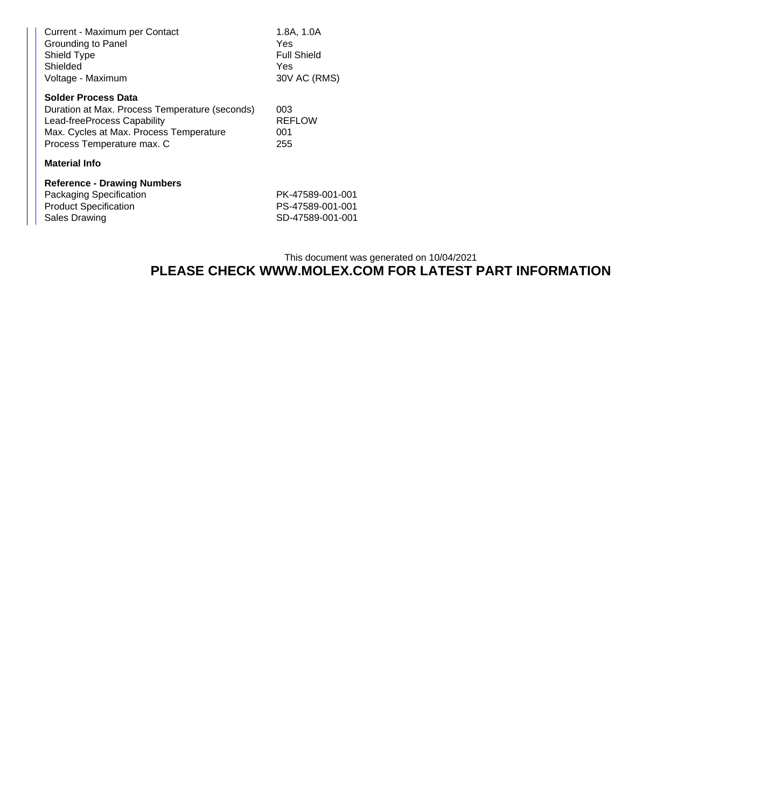| Current - Maximum per Contact<br>Grounding to Panel<br>Shield Type<br>Shielded<br>Voltage - Maximum                                                                           | 1.8A, 1.0A<br>Yes.<br><b>Full Shield</b><br>Yes<br>30V AC (RMS) |  |  |  |
|-------------------------------------------------------------------------------------------------------------------------------------------------------------------------------|-----------------------------------------------------------------|--|--|--|
| Solder Process Data<br>Duration at Max. Process Temperature (seconds)<br>Lead-freeProcess Capability<br>Max. Cycles at Max. Process Temperature<br>Process Temperature max. C | 003<br><b>REFLOW</b><br>001<br>255                              |  |  |  |
| <b>Material Info</b>                                                                                                                                                          |                                                                 |  |  |  |
| <b>Reference - Drawing Numbers</b><br>Packaging Specification<br><b>Product Specification</b><br>Sales Drawing                                                                | PK-47589-001-001<br>PS-47589-001-001<br>SD-47589-001-001        |  |  |  |

## This document was generated on 10/04/2021 **PLEASE CHECK WWW.MOLEX.COM FOR LATEST PART INFORMATION**